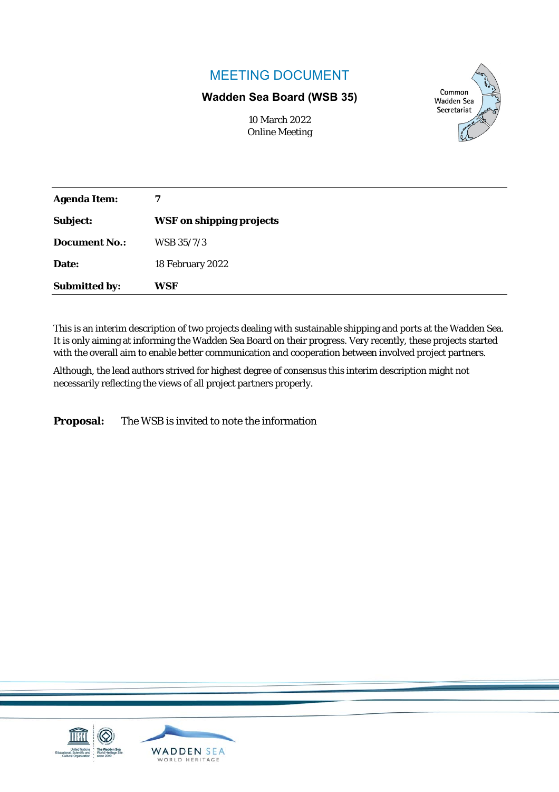### MEETING DOCUMENT

#### **Wadden Sea Board (WSB 35)**

Common **Wadden Sea** Secretariat

| 10 March 2022         |
|-----------------------|
| <b>Online Meeting</b> |

| <b>Agenda Item:</b>  | 7                               |
|----------------------|---------------------------------|
| Subject:             | <b>WSF on shipping projects</b> |
| <b>Document No.:</b> | WSB 35/7/3                      |
| Date:                | 18 February 2022                |
| <b>Submitted by:</b> | WSF                             |

This is an interim description of two projects dealing with sustainable shipping and ports at the Wadden Sea. It is only aiming at informing the Wadden Sea Board on their progress. Very recently, these projects started with the overall aim to enable better communication and cooperation between involved project partners.

Although, the lead authors strived for highest degree of consensus this interim description might not necessarily reflecting the views of all project partners properly.

**Proposal:** The WSB is invited to note the information

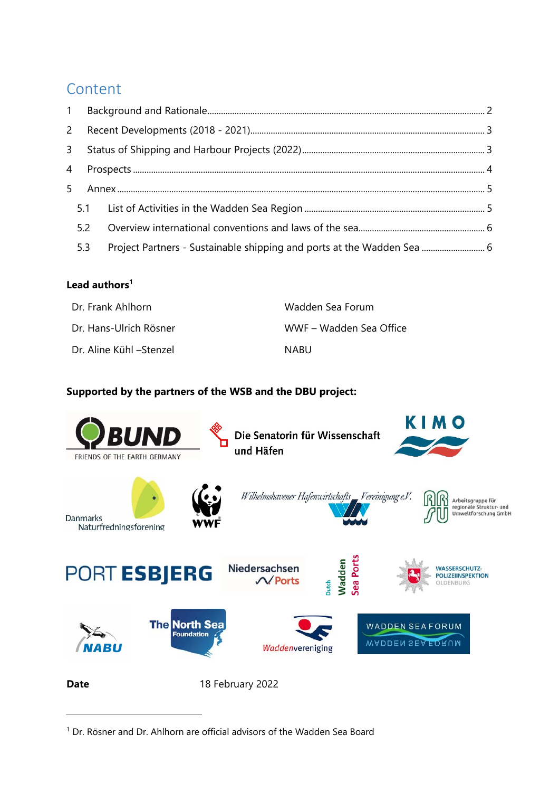## Content

| 1 |                              |                                                                        |
|---|------------------------------|------------------------------------------------------------------------|
|   |                              |                                                                        |
|   |                              |                                                                        |
|   |                              |                                                                        |
|   |                              |                                                                        |
|   |                              |                                                                        |
|   |                              |                                                                        |
|   |                              |                                                                        |
|   | 3 <sup>7</sup><br>5.2<br>5.3 | Project Partners - Sustainable shipping and ports at the Wadden Sea  6 |

#### **Lead authors<sup>1</sup>**

-

| Dr. Frank Ahlhorn       | Wadden Sea Forum        |
|-------------------------|-------------------------|
| Dr. Hans-Ulrich Rösner  | WWF – Wadden Sea Office |
| Dr. Aline Kühl –Stenzel | NABU                    |

### **Supported by the partners of the WSB and the DBU project:**



<sup>&</sup>lt;sup>1</sup> Dr. Rösner and Dr. Ahlhorn are official advisors of the Wadden Sea Board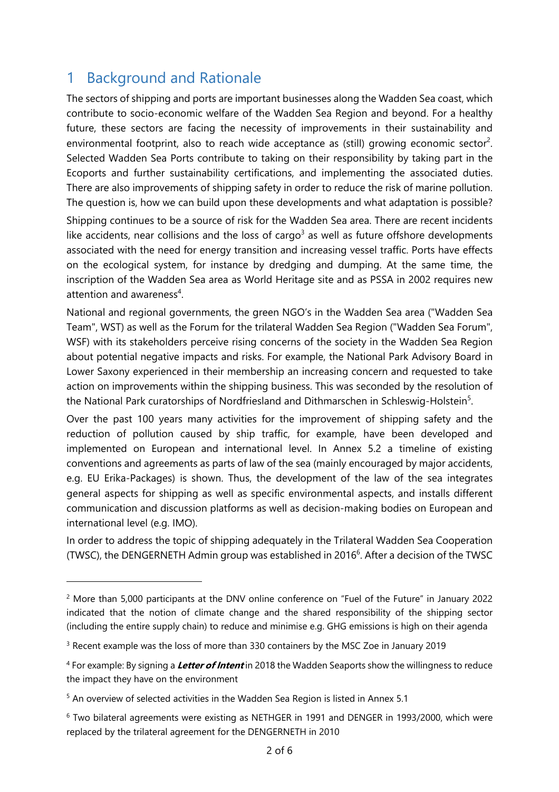## 1 Background and Rationale

The sectors of shipping and ports are important businesses along the Wadden Sea coast, which contribute to socio-economic welfare of the Wadden Sea Region and beyond. For a healthy future, these sectors are facing the necessity of improvements in their sustainability and environmental footprint, also to reach wide acceptance as (still) growing economic sector<sup>2</sup>. Selected Wadden Sea Ports contribute to taking on their responsibility by taking part in the Ecoports and further sustainability certifications, and implementing the associated duties. There are also improvements of shipping safety in order to reduce the risk of marine pollution. The question is, how we can build upon these developments and what adaptation is possible?

Shipping continues to be a source of risk for the Wadden Sea area. There are recent incidents like accidents, near collisions and the loss of cargo<sup>3</sup> as well as future offshore developments associated with the need for energy transition and increasing vessel traffic. Ports have effects on the ecological system, for instance by dredging and dumping. At the same time, the inscription of the Wadden Sea area as World Heritage site and as PSSA in 2002 requires new attention and awareness<sup>4</sup>.

National and regional governments, the green NGO's in the Wadden Sea area ("Wadden Sea Team", WST) as well as the Forum for the trilateral Wadden Sea Region ("Wadden Sea Forum", WSF) with its stakeholders perceive rising concerns of the society in the Wadden Sea Region about potential negative impacts and risks. For example, the National Park Advisory Board in Lower Saxony experienced in their membership an increasing concern and requested to take action on improvements within the shipping business. This was seconded by the resolution of the National Park curatorships of Nordfriesland and Dithmarschen in Schleswig-Holstein<sup>5</sup>.

Over the past 100 years many activities for the improvement of shipping safety and the reduction of pollution caused by ship traffic, for example, have been developed and implemented on European and international level. In Annex 5.2 a timeline of existing conventions and agreements as parts of law of the sea (mainly encouraged by major accidents, e.g. EU Erika-Packages) is shown. Thus, the development of the law of the sea integrates general aspects for shipping as well as specific environmental aspects, and installs different communication and discussion platforms as well as decision-making bodies on European and international level (e.g. IMO).

In order to address the topic of shipping adequately in the Trilateral Wadden Sea Cooperation (TWSC), the DENGERNETH Admin group was established in 2016 $<sup>6</sup>$ . After a decision of the TWSC</sup>

<sup>&</sup>lt;sup>2</sup> More than 5,000 participants at the DNV online conference on "Fuel of the Future" in January 2022 indicated that the notion of climate change and the shared responsibility of the shipping sector (including the entire supply chain) to reduce and minimise e.g. GHG emissions is high on their agenda

<sup>&</sup>lt;sup>3</sup> Recent example was the loss of more than 330 containers by the MSC Zoe in January 2019

<sup>4</sup> For example: By signing a **Letter of Intent** in 2018 the Wadden Seaports show the willingness to reduce the impact they have on the environment

<sup>5</sup> An overview of selected activities in the Wadden Sea Region is listed in Annex 5.1

<sup>6</sup> Two bilateral agreements were existing as NETHGER in 1991 and DENGER in 1993/2000, which were replaced by the trilateral agreement for the DENGERNETH in 2010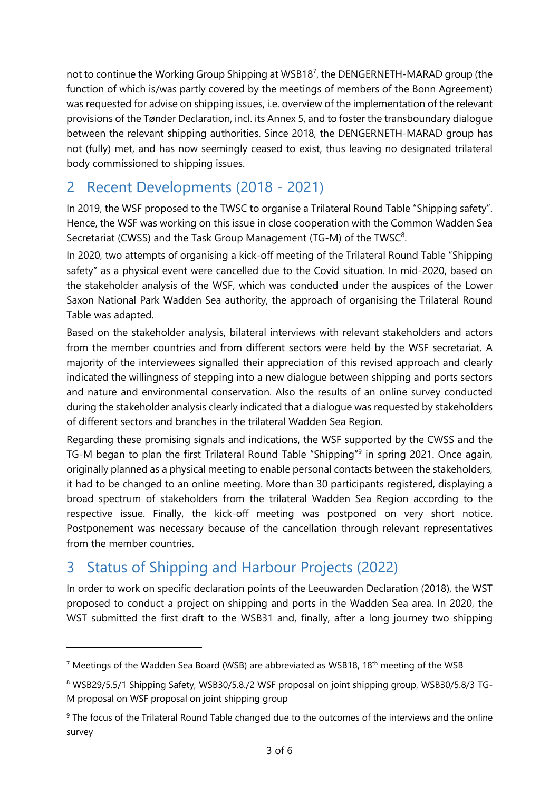not to continue the Working Group Shipping at WSB18<sup>7</sup>, the DENGERNETH-MARAD group (the function of which is/was partly covered by the meetings of members of the Bonn Agreement) was requested for advise on shipping issues, i.e. overview of the implementation of the relevant provisions of the Tønder Declaration, incl. its Annex 5, and to foster the transboundary dialogue between the relevant shipping authorities. Since 2018, the DENGERNETH-MARAD group has not (fully) met, and has now seemingly ceased to exist, thus leaving no designated trilateral body commissioned to shipping issues.

# 2 Recent Developments (2018 - 2021)

In 2019, the WSF proposed to the TWSC to organise a Trilateral Round Table "Shipping safety". Hence, the WSF was working on this issue in close cooperation with the Common Wadden Sea Secretariat (CWSS) and the Task Group Management (TG-M) of the TWSC $8$ .

In 2020, two attempts of organising a kick-off meeting of the Trilateral Round Table "Shipping safety" as a physical event were cancelled due to the Covid situation. In mid-2020, based on the stakeholder analysis of the WSF, which was conducted under the auspices of the Lower Saxon National Park Wadden Sea authority, the approach of organising the Trilateral Round Table was adapted.

Based on the stakeholder analysis, bilateral interviews with relevant stakeholders and actors from the member countries and from different sectors were held by the WSF secretariat. A majority of the interviewees signalled their appreciation of this revised approach and clearly indicated the willingness of stepping into a new dialogue between shipping and ports sectors and nature and environmental conservation. Also the results of an online survey conducted during the stakeholder analysis clearly indicated that a dialogue was requested by stakeholders of different sectors and branches in the trilateral Wadden Sea Region.

Regarding these promising signals and indications, the WSF supported by the CWSS and the TG-M began to plan the first Trilateral Round Table "Shipping"<sup>9</sup> in spring 2021. Once again, originally planned as a physical meeting to enable personal contacts between the stakeholders, it had to be changed to an online meeting. More than 30 participants registered, displaying a broad spectrum of stakeholders from the trilateral Wadden Sea Region according to the respective issue. Finally, the kick-off meeting was postponed on very short notice. Postponement was necessary because of the cancellation through relevant representatives from the member countries.

# 3 Status of Shipping and Harbour Projects (2022)

-

In order to work on specific declaration points of the Leeuwarden Declaration (2018), the WST proposed to conduct a project on shipping and ports in the Wadden Sea area. In 2020, the WST submitted the first draft to the WSB31 and, finally, after a long journey two shipping

<sup>&</sup>lt;sup>7</sup> Meetings of the Wadden Sea Board (WSB) are abbreviated as WSB18, 18<sup>th</sup> meeting of the WSB

<sup>8</sup> WSB29/5.5/1 Shipping Safety, WSB30/5.8./2 WSF proposal on joint shipping group, WSB30/5.8/3 TG-M proposal on WSF proposal on joint shipping group

<sup>9</sup> The focus of the Trilateral Round Table changed due to the outcomes of the interviews and the online survey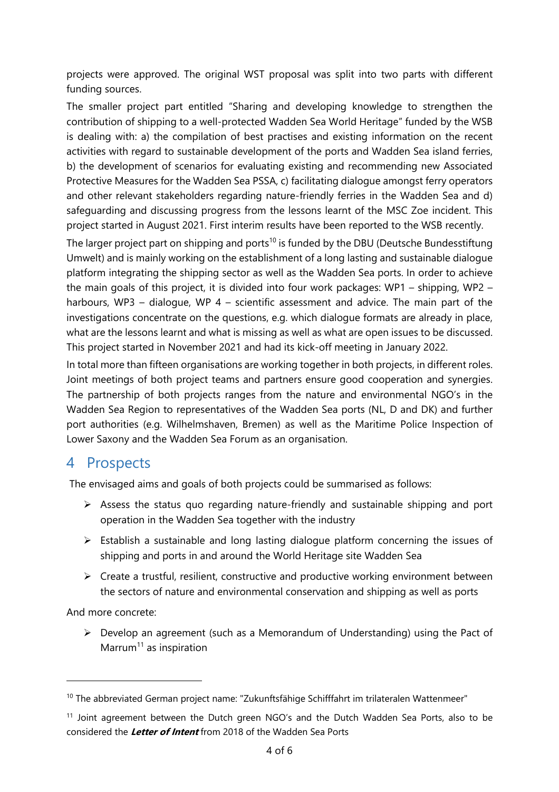projects were approved. The original WST proposal was split into two parts with different funding sources.

The smaller project part entitled "Sharing and developing knowledge to strengthen the contribution of shipping to a well-protected Wadden Sea World Heritage" funded by the WSB is dealing with: a) the compilation of best practises and existing information on the recent activities with regard to sustainable development of the ports and Wadden Sea island ferries, b) the development of scenarios for evaluating existing and recommending new Associated Protective Measures for the Wadden Sea PSSA, c) facilitating dialogue amongst ferry operators and other relevant stakeholders regarding nature-friendly ferries in the Wadden Sea and d) safeguarding and discussing progress from the lessons learnt of the MSC Zoe incident. This project started in August 2021. First interim results have been reported to the WSB recently.

The larger project part on shipping and ports<sup>10</sup> is funded by the DBU (Deutsche Bundesstiftung Umwelt) and is mainly working on the establishment of a long lasting and sustainable dialogue platform integrating the shipping sector as well as the Wadden Sea ports. In order to achieve the main goals of this project, it is divided into four work packages: WP1 – shipping, WP2 – harbours, WP3 – dialogue, WP 4 – scientific assessment and advice. The main part of the investigations concentrate on the questions, e.g. which dialogue formats are already in place, what are the lessons learnt and what is missing as well as what are open issues to be discussed. This project started in November 2021 and had its kick-off meeting in January 2022.

In total more than fifteen organisations are working together in both projects, in different roles. Joint meetings of both project teams and partners ensure good cooperation and synergies. The partnership of both projects ranges from the nature and environmental NGO's in the Wadden Sea Region to representatives of the Wadden Sea ports (NL, D and DK) and further port authorities (e.g. Wilhelmshaven, Bremen) as well as the Maritime Police Inspection of Lower Saxony and the Wadden Sea Forum as an organisation.

## 4 Prospects

The envisaged aims and goals of both projects could be summarised as follows:

- $\triangleright$  Assess the status quo regarding nature-friendly and sustainable shipping and port operation in the Wadden Sea together with the industry
- $\triangleright$  Establish a sustainable and long lasting dialogue platform concerning the issues of shipping and ports in and around the World Heritage site Wadden Sea
- $\triangleright$  Create a trustful, resilient, constructive and productive working environment between the sectors of nature and environmental conservation and shipping as well as ports

And more concrete:

 $\triangleright$  Develop an agreement (such as a Memorandum of Understanding) using the Pact of Marrum<sup>11</sup> as inspiration

<sup>&</sup>lt;sup>10</sup> The abbreviated German project name: "Zukunftsfähige Schifffahrt im trilateralen Wattenmeer"

<sup>&</sup>lt;sup>11</sup> Joint agreement between the Dutch green NGO's and the Dutch Wadden Sea Ports, also to be considered the **Letter of Intent** from 2018 of the Wadden Sea Ports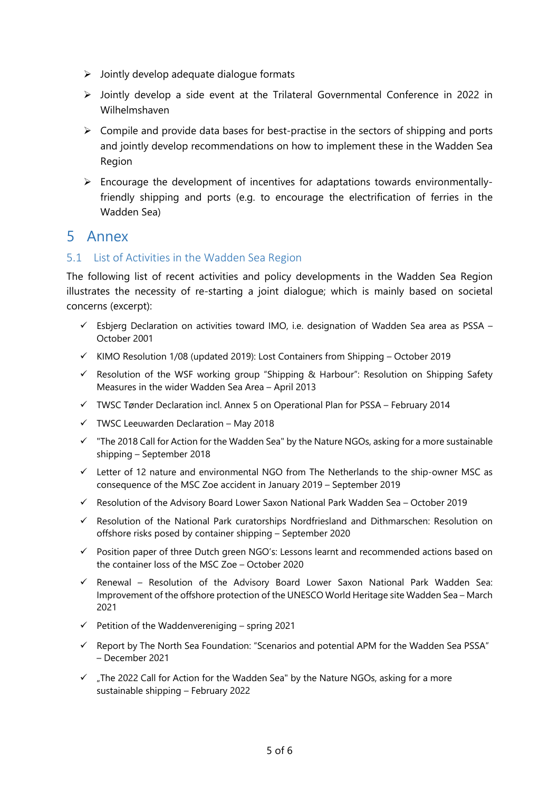- $\triangleright$  Jointly develop adequate dialogue formats
- $\triangleright$  Jointly develop a side event at the Trilateral Governmental Conference in 2022 in Wilhelmshaven
- $\triangleright$  Compile and provide data bases for best-practise in the sectors of shipping and ports and jointly develop recommendations on how to implement these in the Wadden Sea Region
- $\triangleright$  Encourage the development of incentives for adaptations towards environmentallyfriendly shipping and ports (e.g. to encourage the electrification of ferries in the Wadden Sea)

### 5 Annex

#### 5.1 List of Activities in the Wadden Sea Region

The following list of recent activities and policy developments in the Wadden Sea Region illustrates the necessity of re-starting a joint dialogue; which is mainly based on societal concerns (excerpt):

- $\checkmark$  Esbjerg Declaration on activities toward IMO, i.e. designation of Wadden Sea area as PSSA October 2001
- $\checkmark$  KIMO Resolution 1/08 (updated 2019): Lost Containers from Shipping October 2019
- $\checkmark$  Resolution of the WSF working group "Shipping & Harbour": Resolution on Shipping Safety Measures in the wider Wadden Sea Area – April 2013
- $\checkmark$  TWSC Tønder Declaration incl. Annex 5 on Operational Plan for PSSA February 2014
- $\checkmark$  TWSC Leeuwarden Declaration May 2018
- $\checkmark$  "The 2018 Call for Action for the Wadden Sea" by the Nature NGOs, asking for a more sustainable shipping – September 2018
- $\checkmark$  Letter of 12 nature and environmental NGO from The Netherlands to the ship-owner MSC as consequence of the MSC Zoe accident in January 2019 – September 2019
- $\checkmark$  Resolution of the Advisory Board Lower Saxon National Park Wadden Sea October 2019
- $\checkmark$  Resolution of the National Park curatorships Nordfriesland and Dithmarschen: Resolution on offshore risks posed by container shipping – September 2020
- $\checkmark$  Position paper of three Dutch green NGO's: Lessons learnt and recommended actions based on the container loss of the MSC Zoe – October 2020
- $\checkmark$  Renewal Resolution of the Advisory Board Lower Saxon National Park Wadden Sea: Improvement of the offshore protection of the UNESCO World Heritage site Wadden Sea – March 2021
- $\checkmark$  Petition of the Waddenvereniging spring 2021
- $\checkmark$  Report by The North Sea Foundation: "Scenarios and potential APM for the Wadden Sea PSSA" – December 2021
- $\checkmark$  . The 2022 Call for Action for the Wadden Sea" by the Nature NGOs, asking for a more sustainable shipping – February 2022